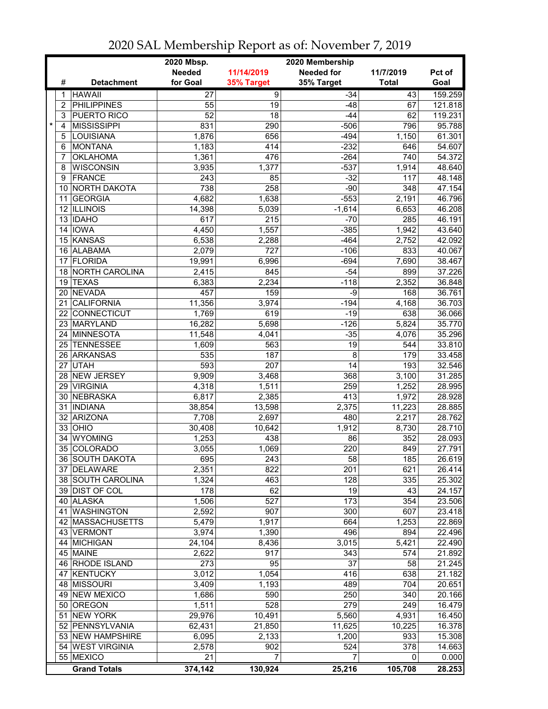|                |                                  | 2020 Mbsp.<br>2020 Membership |                    |                   |              |         |
|----------------|----------------------------------|-------------------------------|--------------------|-------------------|--------------|---------|
|                |                                  | <b>Needed</b>                 | 11/14/2019         | <b>Needed for</b> | 11/7/2019    | Pct of  |
| #              | <b>Detachment</b>                | for Goal                      | 35% Target         | 35% Target        | <b>Total</b> | Goal    |
| 1              | <b>HAWAII</b>                    | 27                            | $\overline{9}$     | $-34$             | 43           | 159.259 |
| $\overline{2}$ | <b>PHILIPPINES</b>               | 55                            | 19                 | $-48$             | 67           | 121.818 |
| 3              | PUERTO RICO                      | $\overline{52}$               | 18                 | $-44$             | 62           | 119.231 |
| *<br>4         | <b>MISSISSIPPI</b>               | 831                           | 290                | $-506$            | 796          | 95.788  |
| 5              | <b>LOUISIANA</b>                 | 1,876                         | 656                | $-494$            | 1,150        | 61.301  |
| 6              | <b>MONTANA</b>                   | 1,183                         | 414                | $-232$            | 646          | 54.607  |
| 7              | <b>OKLAHOMA</b>                  | 1,361                         | 476                | $-264$            | 740          | 54.372  |
| 8              | <b>WISCONSIN</b>                 | 3,935                         | 1,377              | $-537$            | 1,914        | 48.640  |
| 9              | <b>FRANCE</b>                    | 243                           | 85                 | $-32$             | 117          | 48.148  |
|                | 10 NORTH DAKOTA                  | 738                           | 258                | $-90$             | 348          | 47.154  |
| 11             | <b>GEORGIA</b>                   | 4,682                         | 1,638              | $-553$            | 2,191        | 46.796  |
|                | 12 ILLINOIS                      | 14,398                        | 5,039              | $-1,614$          | 6,653        | 46.208  |
|                | 13 IDAHO                         | 617                           | 215                | $-70$             | 285          | 46.191  |
|                | 14 IOWA                          | 4,450                         | 1,557              | $-385$            | 1,942        | 43.640  |
|                | 15 KANSAS                        | 6,538                         | 2,288              | $-464$            | 2,752        | 42.092  |
|                | 16 ALABAMA                       | 2,079                         | 727                | $-106$            | 833          | 40.067  |
| 17             | <b>FLORIDA</b>                   | 19,991                        | 6,996              | $-694$            | 7,690        | 38.467  |
|                | 18 NORTH CAROLINA                | 2,415                         | 845                | $-54$             | 899          | 37.226  |
| 19             | <b>TEXAS</b>                     | 6,383                         | 2,234              | $-118$            | 2,352        | 36.848  |
| 20             | <b>NEVADA</b>                    | 457                           | 159                | -9                | 168          | 36.761  |
| 21             | <b>CALIFORNIA</b>                | 11,356                        | 3,974              | $-194$            | 4,168        | 36.703  |
| 22             | <b>CONNECTICUT</b>               | 1,769                         | 619                | $-19$             | 638          | 36.066  |
| 23             | MARYLAND                         | 16,282                        | $\overline{5,698}$ | $-126$            | 5,824        | 35.770  |
| 24             | <b>MINNESOTA</b>                 | 11,548                        | 4,041              | $-35$             | 4,076        | 35.296  |
| 25             | <b>TENNESSEE</b>                 | 1,609                         | 563                | 19                | 544          | 33.810  |
|                | 26 ARKANSAS                      | 535                           | 187                | $\overline{8}$    | 179          | 33.458  |
|                | 27 UTAH                          | 593                           | 207                | $\overline{14}$   | 193          | 32.546  |
|                | 28 NEW JERSEY                    | 9,909                         | 3,468              | 368               | 3,100        | 31.285  |
|                | 29 VIRGINIA                      | 4,318                         | 1,511              | 259               | 1,252        | 28.995  |
| 30             | <b>NEBRASKA</b>                  | 6,817                         | 2,385              | 413               | 1,972        | 28.928  |
| 31             | <b>INDIANA</b>                   | 38,854                        | 13,598             | 2,375             | 11,223       | 28.885  |
|                | 32 ARIZONA                       | 7,708                         | 2,697              | 480               | 2,217        | 28.762  |
|                | $33$ OHIO                        | 30,408                        | 10,642             | 1,912             | 8,730        | 28.710  |
| 34             | <b>WYOMING</b>                   | 1,253                         | 438                | 86                | 352          | 28.093  |
| 35             | COLORADO                         | 3,055                         | 1,069              | 220               | 849          | 27.791  |
|                |                                  |                               |                    |                   |              |         |
|                | 36 SOUTH DAKOTA                  | 695                           | 243                | 58                | 185          | 26.619  |
|                | 37 DELAWARE<br>38 SOUTH CAROLINA | 2,351                         | 822                | 201               | 621          | 26.414  |
|                |                                  | 1,324                         | 463                | 128               | 335          | 25.302  |
|                | 39 DIST OF COL                   | 178                           | 62                 | 19                | 43           | 24.157  |
|                | 40 ALASKA                        | 1,506<br>2,592                | 527                | 173               | 354          | 23.506  |
|                | 41 WASHINGTON                    |                               | 907                | 300               | 607          | 23.418  |
|                | 42 MASSACHUSETTS                 | 5,479                         | 1,917              | 664               | 1,253        | 22.869  |
|                | 43 VERMONT                       | 3,974                         | 1,390              | 496               | 894          | 22.496  |
|                | 44 MICHIGAN                      | 24,104                        | 8,436              | 3,015             | 5,421        | 22.490  |
|                | 45 MAINE                         | 2,622                         | 917                | 343               | 574          | 21.892  |
|                | 46 RHODE ISLAND                  | 273                           | 95                 | $\overline{37}$   | 58           | 21.245  |
|                | 47 KENTUCKY                      | 3,012                         | 1,054              | 416               | 638          | 21.182  |
|                | 48 MISSOURI                      | 3,409                         | 1,193              | 489               | 704          | 20.651  |
|                | 49 NEW MEXICO                    | 1,686                         | 590                | 250               | 340          | 20.166  |
|                | 50 OREGON                        | 1,511                         | 528                | 279               | 249          | 16.479  |
|                | 51 NEW YORK                      | 29,976                        | 10,491             | 5,560             | 4,931        | 16.450  |
|                | 52 PENNSYLVANIA                  | 62,431                        | 21,850             | 11,625            | 10,225       | 16.378  |
|                | 53 NEW HAMPSHIRE                 | 6,095                         | 2,133              | 1,200             | 933          | 15.308  |
|                | 54 WEST VIRGINIA                 | 2,578                         | 902                | 524               | 378          | 14.663  |
|                | 55 MEXICO                        | 21                            | 7                  | 7                 | 0            | 0.000   |
|                | <b>Grand Totals</b>              | 374,142                       | 130,924            | 25,216            | 105,708      | 28.253  |

2020 SAL Membership Report as of: November 7, 2019